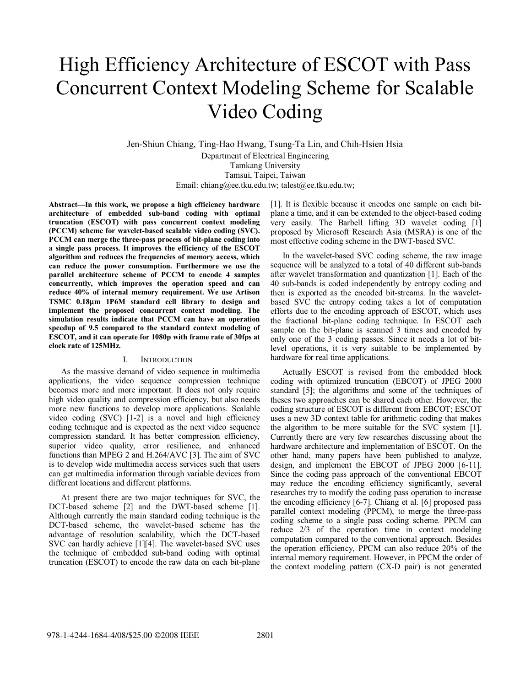# High Efficiency Architecture of ESCOT with Pass Concurrent Context Modeling Scheme for Scalable Video Coding

Jen-Shiun Chiang, Ting-Hao Hwang, Tsung-Ta Lin, and Chih-Hsien Hsia Department of Electrical Engineering Tamkang University Tamsui, Taipei, Taiwan Email: chiang@ee.tku.edu.tw; talest@ee.tku.edu.tw;

**Abstract—In this work, we propose a high efficiency hardware architecture of embedded sub-band coding with optimal truncation (ESCOT) with pass concurrent context modeling (PCCM) scheme for wavelet-based scalable video coding (SVC). PCCM can merge the three-pass process of bit-plane coding into a single pass process. It improves the efficiency of the ESCOT algorithm and reduces the frequencies of memory access, which can reduce the power consumption. Furthermore we use the parallel architecture scheme of PCCM to encode 4 samples concurrently, which improves the operation speed and can reduce 40% of internal memory requirement. We use Artison TSMC 0.18**μ**m 1P6M standard cell library to design and implement the proposed concurrent context modeling. The simulation results indicate that PCCM can have an operation speedup of 9.5 compared to the standard context modeling of ESCOT, and it can operate for 1080p with frame rate of 30fps at clock rate of 125MHz.** 

#### I. INTRODUCTION

As the massive demand of video sequence in multimedia applications, the video sequence compression technique becomes more and more important. It does not only require high video quality and compression efficiency, but also needs more new functions to develop more applications. Scalable video coding (SVC) [1-2] is a novel and high efficiency coding technique and is expected as the next video sequence compression standard. It has better compression efficiency, superior video quality, error resilience, and enhanced functions than MPEG 2 and H.264/AVC [3]. The aim of SVC is to develop wide multimedia access services such that users can get multimedia information through variable devices from different locations and different platforms.

At present there are two major techniques for SVC, the DCT-based scheme [2] and the DWT-based scheme [1]. Although currently the main standard coding technique is the DCT-based scheme, the wavelet-based scheme has the advantage of resolution scalability, which the DCT-based SVC can hardly achieve [1][4]. The wavelet-based SVC uses the technique of embedded sub-band coding with optimal truncation (ESCOT) to encode the raw data on each bit-plane [1]. It is flexible because it encodes one sample on each bitplane a time, and it can be extended to the object-based coding very easily. The Barbell lifting 3D wavelet coding [1] proposed by Microsoft Research Asia (MSRA) is one of the most effective coding scheme in the DWT-based SVC.

In the wavelet-based SVC coding scheme, the raw image sequence will be analyzed to a total of 40 different sub-bands after wavelet transformation and quantization [1]. Each of the 40 sub-bands is coded independently by entropy coding and then is exported as the encoded bit-streams. In the waveletbased SVC the entropy coding takes a lot of computation efforts due to the encoding approach of ESCOT, which uses the fractional bit-plane coding technique. In ESCOT each sample on the bit-plane is scanned 3 times and encoded by only one of the 3 coding passes. Since it needs a lot of bitlevel operations, it is very suitable to be implemented by hardware for real time applications.

Actually ESCOT is revised from the embedded block coding with optimized truncation (EBCOT) of JPEG 2000 standard [5]; the algorithms and some of the techniques of theses two approaches can be shared each other. However, the coding structure of ESCOT is different from EBCOT; ESCOT uses a new 3D context table for arithmetic coding that makes the algorithm to be more suitable for the SVC system [1]. Currently there are very few researches discussing about the hardware architecture and implementation of ESCOT. On the other hand, many papers have been published to analyze, design, and implement the EBCOT of JPEG 2000 [6-11]. Since the coding pass approach of the conventional EBCOT may reduce the encoding efficiency significantly, several researches try to modify the coding pass operation to increase the encoding efficiency [6-7]. Chiang et al. [6] proposed pass parallel context modeling (PPCM), to merge the three-pass coding scheme to a single pass coding scheme. PPCM can reduce 2/3 of the operation time in context modeling computation compared to the conventional approach. Besides the operation efficiency, PPCM can also reduce 20% of the internal memory requirement. However, in PPCM the order of the context modeling pattern (CX-D pair) is not generated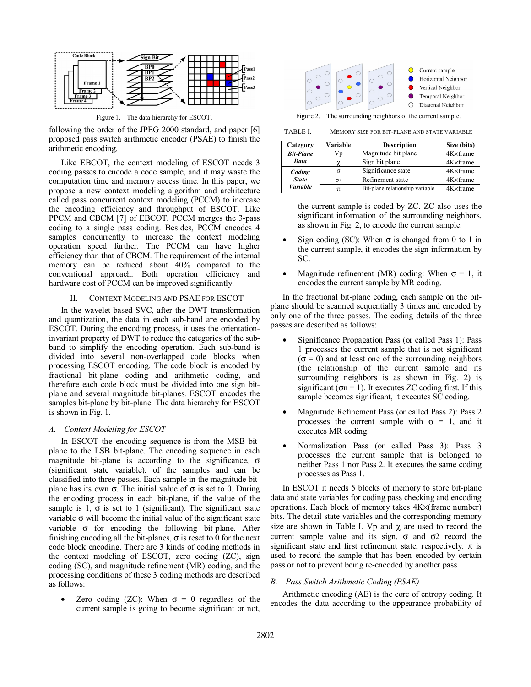

following the order of the JPEG 2000 standard, and paper [6] proposed pass switch arithmetic encoder (PSAE) to finish the arithmetic encoding.

Like EBCOT, the context modeling of ESCOT needs 3 coding passes to encode a code sample, and it may waste the computation time and memory access time. In this paper, we propose a new context modeling algorithm and architecture called pass concurrent context modeling (PCCM) to increase the encoding efficiency and throughput of ESCOT. Like PPCM and CBCM [7] of EBCOT, PCCM merges the 3-pass coding to a single pass coding. Besides, PCCM encodes 4 samples concurrently to increase the context modeling operation speed further. The PCCM can have higher efficiency than that of CBCM. The requirement of the internal memory can be reduced about 40% compared to the conventional approach. Both operation efficiency and hardware cost of PCCM can be improved significantly.

# II. CONTEXT MODELING AND PSAE FOR ESCOT

In the wavelet-based SVC, after the DWT transformation and quantization, the data in each sub-band are encoded by ESCOT. During the encoding process, it uses the orientationinvariant property of DWT to reduce the categories of the subband to simplify the encoding operation. Each sub-band is divided into several non-overlapped code blocks when processing ESCOT encoding. The code block is encoded by fractional bit-plane coding and arithmetic coding, and therefore each code block must be divided into one sign bitplane and several magnitude bit-planes. ESCOT encodes the samples bit-plane by bit-plane. The data hierarchy for ESCOT is shown in Fig. 1.

# *A. Context Modeling for ESCOT*

In ESCOT the encoding sequence is from the MSB bitplane to the LSB bit-plane. The encoding sequence in each magnitude bit-plane is according to the significance,  $\sigma$ (significant state variable), of the samples and can be classified into three passes. Each sample in the magnitude bitplane has its own  $\sigma$ . The initial value of  $\sigma$  is set to 0. During the encoding process in each bit-plane, if the value of the sample is 1,  $\sigma$  is set to 1 (significant). The significant state variable  $\sigma$  will become the initial value of the significant state variable σ for encoding the following bit-plane. After finishing encoding all the bit-planes,  $\sigma$  is reset to 0 for the next code block encoding. There are 3 kinds of coding methods in the context modeling of ESCOT, zero coding (ZC), sign coding (SC), and magnitude refinement (MR) coding, and the processing conditions of these 3 coding methods are described as follows:

• Zero coding (ZC): When  $\sigma = 0$  regardless of the current sample is going to become significant or not,



TABLE I. MEMORY SIZE FOR BIT-PLANE AND STATE VARIABLE

| Category         | Variable | <b>Description</b>              | Size (bits)       |
|------------------|----------|---------------------------------|-------------------|
| <b>Bit-Plane</b> | Vp       | Magnitude bit plane             | 4K×frame          |
| Data             |          | Sign bit plane                  | $4K \times$ frame |
| Coding           |          | Significance state              | 4K×frame          |
| <b>State</b>     | $\sigma$ | Refinement state                | 4K×frame          |
| <b>Variable</b>  | π        | Bit-plane relationship variable | $4K \times$ frame |

the current sample is coded by ZC. ZC also uses the significant information of the surrounding neighbors, as shown in Fig. 2, to encode the current sample.

- Sign coding (SC): When  $\sigma$  is changed from 0 to 1 in the current sample, it encodes the sign information by SC.
- Magnitude refinement (MR) coding: When  $\sigma = 1$ , it encodes the current sample by MR coding.

In the fractional bit-plane coding, each sample on the bitplane should be scanned sequentially 3 times and encoded by only one of the three passes. The coding details of the three passes are described as follows:

- Significance Propagation Pass (or called Pass 1): Pass 1 processes the current sample that is not significant  $(\sigma = 0)$  and at least one of the surrounding neighbors (the relationship of the current sample and its surrounding neighbors is as shown in Fig. 2) is significant ( $\sigma$ n = 1). It executes ZC coding first. If this sample becomes significant, it executes SC coding.
- Magnitude Refinement Pass (or called Pass 2): Pass 2 processes the current sample with  $\sigma = 1$ , and it executes MR coding.
- Normalization Pass (or called Pass 3): Pass 3 processes the current sample that is belonged to neither Pass 1 nor Pass 2. It executes the same coding processes as Pass 1.

In ESCOT it needs 5 blocks of memory to store bit-plane data and state variables for coding pass checking and encoding operations. Each block of memory takes 4K×(frame number) bits. The detail state variables and the corresponding memory size are shown in Table I. Vp and  $\gamma$  are used to record the current sample value and its sign.  $\sigma$  and  $\sigma$ 2 record the significant state and first refinement state, respectively.  $\pi$  is used to record the sample that has been encoded by certain pass or not to prevent being re-encoded by another pass.

# *B. Pass Switch Arithmetic Coding (PSAE)*

Arithmetic encoding (AE) is the core of entropy coding. It encodes the data according to the appearance probability of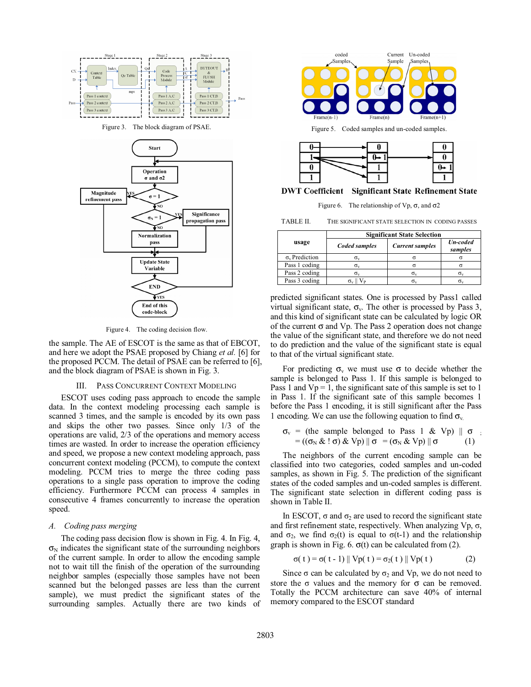

Figure 4. The coding decision flow.

the sample. The AE of ESCOT is the same as that of EBCOT, and here we adopt the PSAE proposed by Chiang *et al.* [6] for the proposed PCCM. The detail of PSAE can be referred to [6], and the block diagram of PSAE is shown in Fig. 3.

#### III. PASS CONCURRENT CONTEXT MODELING

ESCOT uses coding pass approach to encode the sample data. In the context modeling processing each sample is scanned 3 times, and the sample is encoded by its own pass and skips the other two passes. Since only 1/3 of the operations are valid, 2/3 of the operations and memory access times are wasted. In order to increase the operation efficiency and speed, we propose a new context modeling approach, pass concurrent context modeling (PCCM), to compute the context modeling. PCCM tries to merge the three coding pass operations to a single pass operation to improve the coding efficiency. Furthermore PCCM can process 4 samples in consecutive 4 frames concurrently to increase the operation speed.

# *A. Coding pass merging*

The coding pass decision flow is shown in Fig. 4. In Fig. 4,  $\sigma_N$  indicates the significant state of the surrounding neighbors of the current sample. In order to allow the encoding sample not to wait till the finish of the operation of the surrounding neighbor samples (especially those samples have not been scanned but the belonged passes are less than the current sample), we must predict the significant states of the surrounding samples. Actually there are two kinds of



TABLE II. THE SIGNIFICANT STATE SELECTION IN CODING PASSES

|                         | <b>Significant State Selection</b> |                        |                     |  |
|-------------------------|------------------------------------|------------------------|---------------------|--|
| usage                   | Coded samples                      | <b>Current samples</b> | Un-coded<br>samples |  |
| $\sigma_{v}$ Prediction | $\sigma_{v}$                       |                        |                     |  |
| Pass 1 coding           | $\sigma_v$                         |                        |                     |  |
| Pass 2 coding           | σ.,                                | $\sigma_{v}$           |                     |  |
| Pass 3 coding           |                                    | σ.                     |                     |  |

predicted significant states. One is processed by Pass1 called virtual significant state,  $\sigma_{v}$ . The other is processed by Pass 3, and this kind of significant state can be calculated by logic OR of the current  $\sigma$  and Vp. The Pass 2 operation does not change the value of the significant state, and therefore we do not need to do prediction and the value of the significant state is equal to that of the virtual significant state.

For predicting  $\sigma_{v}$  we must use  $\sigma$  to decide whether the sample is belonged to Pass 1. If this sample is belonged to Pass 1 and  $Vp = 1$ , the significant sate of this sample is set to 1 in Pass 1. If the significant sate of this sample becomes 1 before the Pass 1 encoding, it is still significant after the Pass 1 encoding. We can use the following equation to find  $\sigma_{v}$ .

$$
\sigma_v = (\text{the sample belonged to Pass 1 & Vp}) \parallel \sigma ; = ((\sigma_N & \sigma_j & Vp) \parallel \sigma = (\sigma_N & Vp) \parallel \sigma \qquad (1)
$$

The neighbors of the current encoding sample can be classified into two categories, coded samples and un-coded samples, as shown in Fig. 5. The prediction of the significant states of the coded samples and un-coded samples is different. The significant state selection in different coding pass is shown in Table II.

In ESCOT,  $\sigma$  and  $\sigma_2$  are used to record the significant state and first refinement state, respectively. When analyzing  $Vp, \sigma$ , and  $\sigma_2$ , we find  $\sigma_2(t)$  is equal to  $\sigma(t-1)$  and the relationship graph is shown in Fig. 6.  $\sigma(t)$  can be calculated from (2).

$$
\sigma(t) = \sigma(t - 1) || Vp(t) = \sigma_2(t) || Vp(t)
$$
 (2)

Since  $\sigma$  can be calculated by  $\sigma_2$  and Vp, we do not need to store the  $\sigma$  values and the memory for  $\sigma$  can be removed. Totally the PCCM architecture can save 40% of internal memory compared to the ESCOT standard